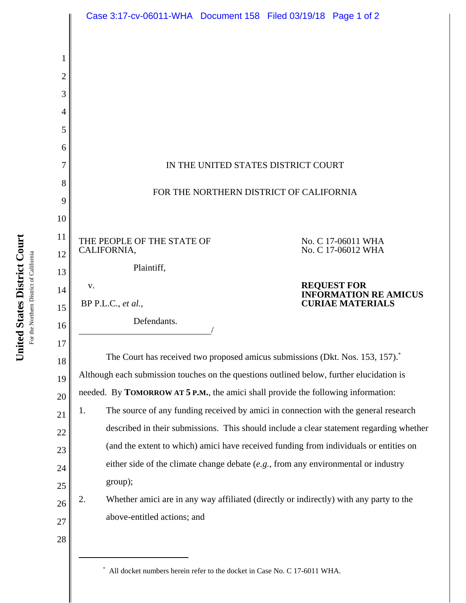|          | Case 3:17-cv-06011-WHA Document 158 Filed 03/19/18 Page 1 of 2                          |                                                                                           |  |  |
|----------|-----------------------------------------------------------------------------------------|-------------------------------------------------------------------------------------------|--|--|
|          |                                                                                         |                                                                                           |  |  |
| 1        |                                                                                         |                                                                                           |  |  |
| 2        |                                                                                         |                                                                                           |  |  |
| 3        |                                                                                         |                                                                                           |  |  |
| 4        |                                                                                         |                                                                                           |  |  |
| 5        |                                                                                         |                                                                                           |  |  |
| 6        |                                                                                         |                                                                                           |  |  |
| 7        | IN THE UNITED STATES DISTRICT COURT                                                     |                                                                                           |  |  |
| 8        | FOR THE NORTHERN DISTRICT OF CALIFORNIA                                                 |                                                                                           |  |  |
| 9        |                                                                                         |                                                                                           |  |  |
| 10       |                                                                                         |                                                                                           |  |  |
| 11<br>12 | THE PEOPLE OF THE STATE OF<br>CALIFORNIA,                                               | No. C 17-06011 WHA<br>No. C 17-06012 WHA                                                  |  |  |
| 13       | Plaintiff,                                                                              |                                                                                           |  |  |
| 14       | V.                                                                                      | <b>REQUEST FOR</b><br><b>INFORMATION RE AMICUS</b>                                        |  |  |
| 15       | BP P.L.C., et al.,                                                                      | <b>CURIAE MATERIALS</b>                                                                   |  |  |
| 16       | Defendants.                                                                             |                                                                                           |  |  |
| 17       |                                                                                         |                                                                                           |  |  |
| 18       |                                                                                         | The Court has received two proposed amicus submissions (Dkt. Nos. 153, 157). <sup>*</sup> |  |  |
| 19       |                                                                                         | Although each submission touches on the questions outlined below, further elucidation is  |  |  |
| 20       | needed. By TOMORROW AT 5 P.M., the amici shall provide the following information:       |                                                                                           |  |  |
| 21       | 1.                                                                                      | The source of any funding received by amici in connection with the general research       |  |  |
| 22       | described in their submissions. This should include a clear statement regarding whether |                                                                                           |  |  |
| 23       | (and the extent to which) amici have received funding from individuals or entities on   |                                                                                           |  |  |
| 24       | either side of the climate change debate $(e.g., from any environmental or industry)$   |                                                                                           |  |  |
| 25       | group);                                                                                 |                                                                                           |  |  |
| 26       | 2.                                                                                      | Whether amici are in any way affiliated (directly or indirectly) with any party to the    |  |  |
| 27       | above-entitled actions; and                                                             |                                                                                           |  |  |
| 28       |                                                                                         |                                                                                           |  |  |
|          |                                                                                         |                                                                                           |  |  |

United States District Court<br>For the Northern District of California **United States District Court** For the Northern District of California

\* All docket numbers herein refer to the docket in Case No. C 17-6011 WHA.